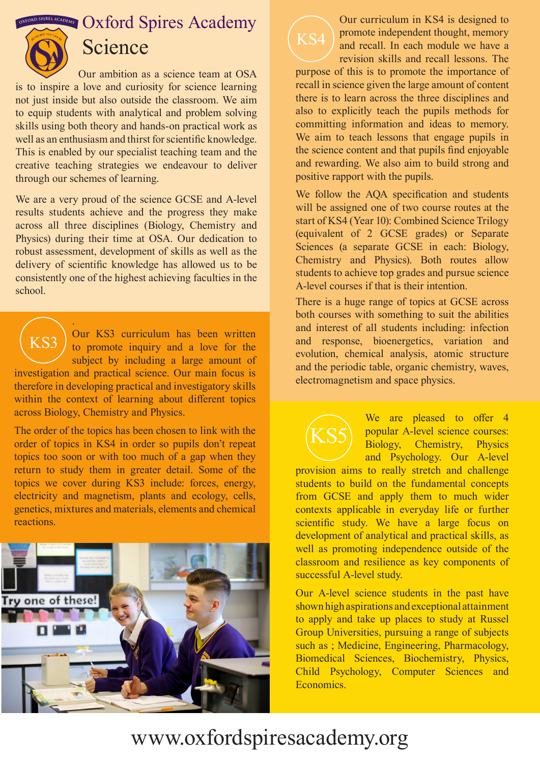$\mathbb{R}$  **OXFORD** SPIRES ACADEMY



## Science

Our ambition as a science team at OSA is to inspire a love and curiosity for science learning not just inside but also outside the classroom. We aim to equip students with analytical and problem solving skills using both theory and hands-on practical work as well as an enthusiasm and thirst for scientific knowledge. This is enabled by our specialist teaching team and the creative teaching strategies we endeavour to deliver through our schemes of learning.

We are a very proud of the science GCSE and A-level results students achieve and the progress they make across all three disciplines (Biology, Chemistry and Physics) during their time at OSA. Our dedication to robust assessment, development of skills as well as the delivery of scientific knowledge has allowed us to be consistently one of the highest achieving faculties in the school.

. Our KS3 curriculum has been written to promote inquiry and a love for the subject by including a large amount of investigation and practical science. Our main focus is therefore in developing practical and investigatory skills within the context of learning about different topics across Biology, Chemistry and Physics. KS3

The order of the topics has been chosen to link with the order of topics in KS4 in order so pupils don't repeat topics too soon or with too much of a gap when they return to study them in greater detail. Some of the topics we cover during KS3 include: forces, energy, electricity and magnetism, plants and ecology, cells, genetics, mixtures and materials, elements and chemical reactions.





Our curriculum in KS4 is designed to promote independent thought, memory and recall. In each module we have a revision skills and recall lessons. The

purpose of this is to promote the importance of recall in science given the large amount of content there is to learn across the three disciplines and also to explicitly teach the pupils methods for committing information and ideas to memory. We aim to teach lessons that engage pupils in the science content and that pupils find enjoyable and rewarding. We also aim to build strong and positive rapport with the pupils.

We follow the AQA specification and students will be assigned one of two course routes at the start of KS4 (Year 10): Combined Science Trilogy (equivalent of 2 GCSE grades) or Separate Sciences (a separate GCSE in each: Biology, Chemistry and Physics). Both routes allow students to achieve top grades and pursue science A-level courses if that is their intention.

There is a huge range of topics at GCSE across both courses with something to suit the abilities and interest of all students including: infection and response, bioenergetics, variation and evolution, chemical analysis, atomic structure and the periodic table, organic chemistry, waves, electromagnetism and space physics.

> We are pleased to offer 4 popular A-level science courses: Biology, Chemistry, Physics and Psychology. Our A-level

provision aims to really stretch and challenge students to build on the fundamental concepts from GCSE and apply them to much wider contexts applicable in everyday life or further scientific study. We have a large focus on development of analytical and practical skills, as well as promoting independence outside of the classroom and resilience as key components of successful A-level study.

KS5

Our A-level science students in the past have shown high aspirations and exceptional attainment to apply and take up places to study at Russel Group Universities, pursuing a range of subjects such as ; Medicine, Engineering, Pharmacology, Biomedical Sciences, Biochemistry, Physics, Child Psychology, Computer Sciences and Economics.

## www.oxfordspiresacademy.org